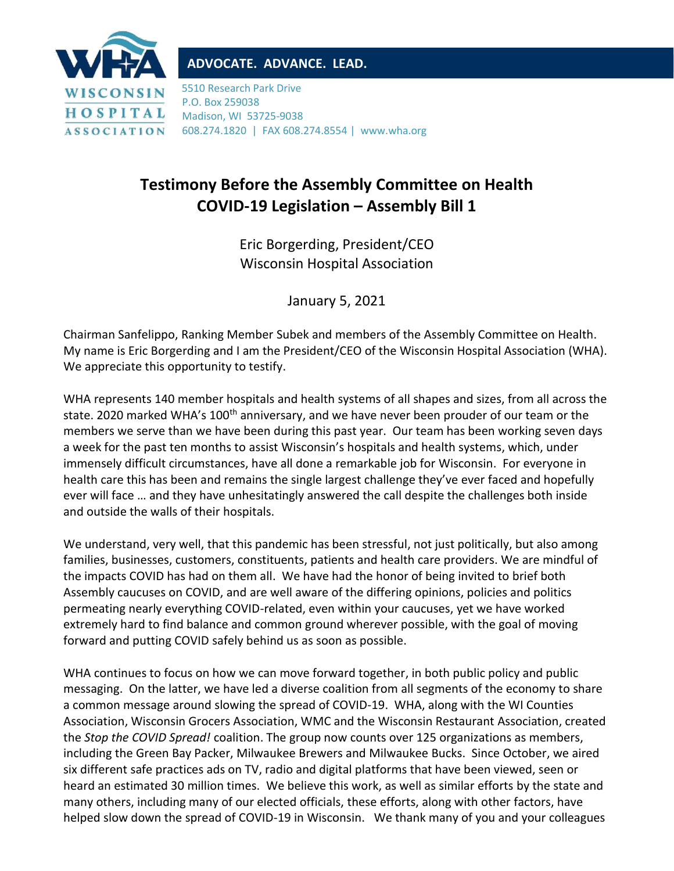

## **ADVOCATE. ADVANCE. LEAD.**

5510 Research Park Drive P.O. Box 259038 Madison, WI 53725-9038 608.274.1820 | FAX 608.274.8554 | www.wha.org

## **Testimony Before the Assembly Committee on Health COVID-19 Legislation – Assembly Bill 1**

Eric Borgerding, President/CEO Wisconsin Hospital Association

January 5, 2021

Chairman Sanfelippo, Ranking Member Subek and members of the Assembly Committee on Health. My name is Eric Borgerding and I am the President/CEO of the Wisconsin Hospital Association (WHA). We appreciate this opportunity to testify.

WHA represents 140 member hospitals and health systems of all shapes and sizes, from all across the state. 2020 marked WHA's 100<sup>th</sup> anniversary, and we have never been prouder of our team or the members we serve than we have been during this past year. Our team has been working seven days a week for the past ten months to assist Wisconsin's hospitals and health systems, which, under immensely difficult circumstances, have all done a remarkable job for Wisconsin. For everyone in health care this has been and remains the single largest challenge they've ever faced and hopefully ever will face … and they have unhesitatingly answered the call despite the challenges both inside and outside the walls of their hospitals.

We understand, very well, that this pandemic has been stressful, not just politically, but also among families, businesses, customers, constituents, patients and health care providers. We are mindful of the impacts COVID has had on them all. We have had the honor of being invited to brief both Assembly caucuses on COVID, and are well aware of the differing opinions, policies and politics permeating nearly everything COVID-related, even within your caucuses, yet we have worked extremely hard to find balance and common ground wherever possible, with the goal of moving forward and putting COVID safely behind us as soon as possible.

WHA continues to focus on how we can move forward together, in both public policy and public messaging. On the latter, we have led a diverse coalition from all segments of the economy to share a common message around slowing the spread of COVID-19. WHA, along with the WI Counties Association, Wisconsin Grocers Association, WMC and the Wisconsin Restaurant Association, created the *Stop the COVID Spread!* coalition. The group now counts over 125 organizations as members, including the Green Bay Packer, Milwaukee Brewers and Milwaukee Bucks. Since October, we aired six different safe practices ads on TV, radio and digital platforms that have been viewed, seen or heard an estimated 30 million times. We believe this work, as well as similar efforts by the state and many others, including many of our elected officials, these efforts, along with other factors, have helped slow down the spread of COVID-19 in Wisconsin. We thank many of you and your colleagues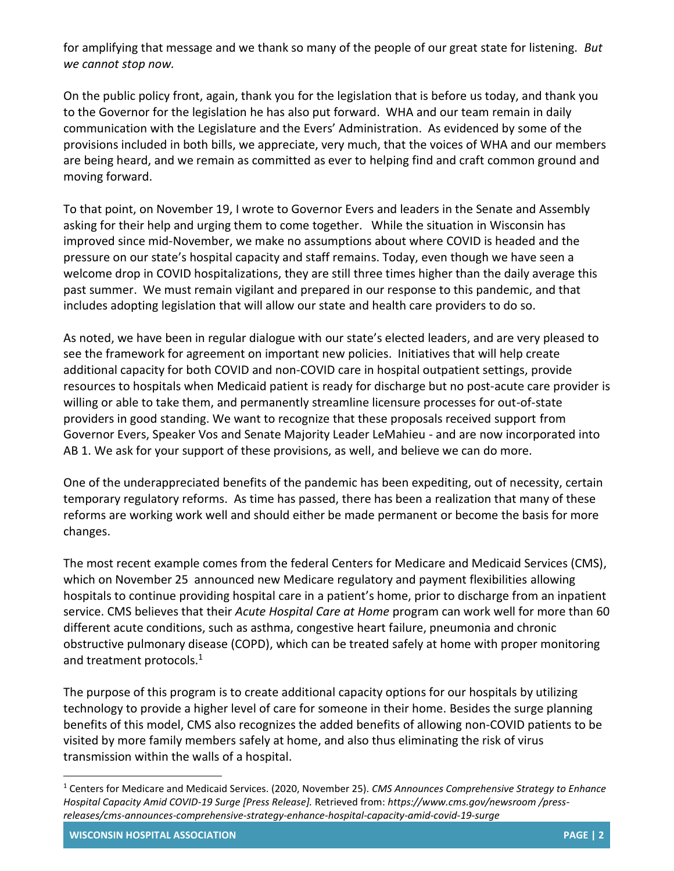for amplifying that message and we thank so many of the people of our great state for listening. *But we cannot stop now.*

On the public policy front, again, thank you for the legislation that is before us today, and thank you to the Governor for the legislation he has also put forward. WHA and our team remain in daily communication with the Legislature and the Evers' Administration. As evidenced by some of the provisions included in both bills, we appreciate, very much, that the voices of WHA and our members are being heard, and we remain as committed as ever to helping find and craft common ground and moving forward.

To that point, on November 19, I wrote to Governor Evers and leaders in the Senate and Assembly asking for their help and urging them to come together. While the situation in Wisconsin has improved since mid-November, we make no assumptions about where COVID is headed and the pressure on our state's hospital capacity and staff remains. Today, even though we have seen a welcome drop in COVID hospitalizations, they are still three times higher than the daily average this past summer. We must remain vigilant and prepared in our response to this pandemic, and that includes adopting legislation that will allow our state and health care providers to do so.

As noted, we have been in regular dialogue with our state's elected leaders, and are very pleased to see the framework for agreement on important new policies. Initiatives that will help create additional capacity for both COVID and non-COVID care in hospital outpatient settings, provide resources to hospitals when Medicaid patient is ready for discharge but no post-acute care provider is willing or able to take them, and permanently streamline licensure processes for out-of-state providers in good standing. We want to recognize that these proposals received support from Governor Evers, Speaker Vos and Senate Majority Leader LeMahieu - and are now incorporated into AB 1. We ask for your support of these provisions, as well, and believe we can do more.

One of the underappreciated benefits of the pandemic has been expediting, out of necessity, certain temporary regulatory reforms. As time has passed, there has been a realization that many of these reforms are working work well and should either be made permanent or become the basis for more changes.

The most recent example comes from the federal Centers for Medicare and Medicaid Services (CMS), which on November 25 announced new Medicare regulatory and payment flexibilities allowing hospitals to continue providing hospital care in a patient's home, prior to discharge from an inpatient service. CMS believes that their *Acute Hospital Care at Home* program can work well for more than 60 different acute conditions, such as asthma, congestive heart failure, pneumonia and chronic obstructive pulmonary disease (COPD), which can be treated safely at home with proper monitoring and treatment protocols.<sup>1</sup>

The purpose of this program is to create additional capacity options for our hospitals by utilizing technology to provide a higher level of care for someone in their home. Besides the surge planning benefits of this model, CMS also recognizes the added benefits of allowing non-COVID patients to be visited by more family members safely at home, and also thus eliminating the risk of virus transmission within the walls of a hospital.

**WISCONSIN HOSPITAL ASSOCIATION PAGE | 2**

<sup>1</sup> Centers for Medicare and Medicaid Services. (2020, November 25). *CMS Announces Comprehensive Strategy to Enhance Hospital Capacity Amid COVID-19 Surge [Press Release].* Retrieved from: *https://www.cms.gov/newsroom /pressreleases/cms-announces-comprehensive-strategy-enhance-hospital-capacity-amid-covid-19-surge*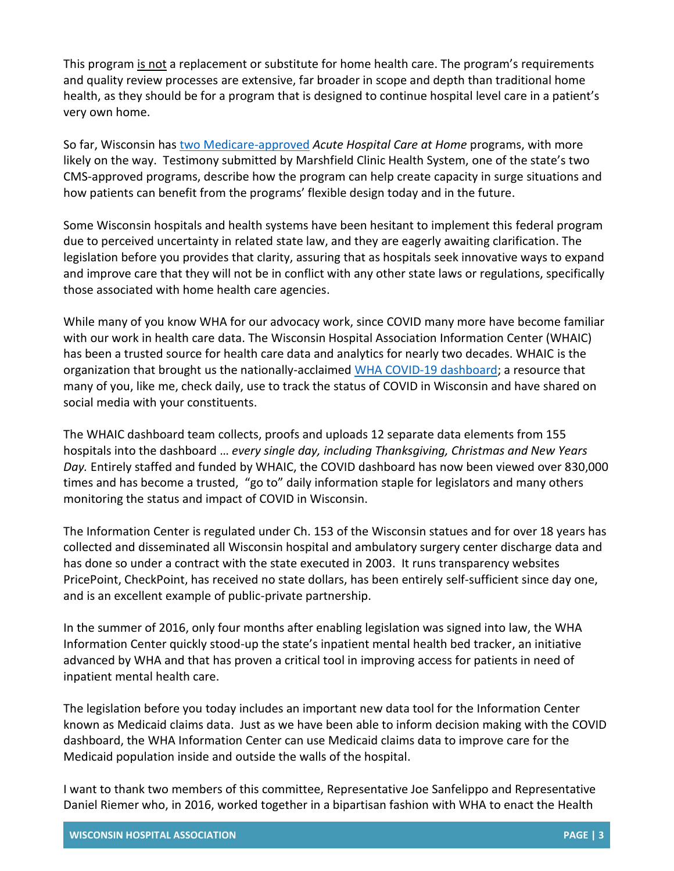This program is not a replacement or substitute for home health care. The program's requirements and quality review processes are extensive, far broader in scope and depth than traditional home health, as they should be for a program that is designed to continue hospital level care in a patient's very own home.

So far, Wisconsin has [two Medicare-approved](https://www.cms.gov/files/document/covid-acute-hospital-care-home-program-approved-list-hospitals.pdf) *Acute Hospital Care at Home* programs, with more likely on the way. Testimony submitted by Marshfield Clinic Health System, one of the state's two CMS-approved programs, describe how the program can help create capacity in surge situations and how patients can benefit from the programs' flexible design today and in the future.

Some Wisconsin hospitals and health systems have been hesitant to implement this federal program due to perceived uncertainty in related state law, and they are eagerly awaiting clarification. The legislation before you provides that clarity, assuring that as hospitals seek innovative ways to expand and improve care that they will not be in conflict with any other state laws or regulations, specifically those associated with home health care agencies.

While many of you know WHA for our advocacy work, since COVID many more have become familiar with our work in health care data. The Wisconsin Hospital Association Information Center (WHAIC) has been a trusted source for health care data and analytics for nearly two decades. WHAIC is the organization that brought us the nationally-acclaimed [WHA](https://www.wha.org/Covid-19Update) [COVID-19 dashboard;](https://www.wha.org/Covid-19Update) a resource that many of you, like me, check daily, use to track the status of COVID in Wisconsin and have shared on social media with your constituents.

The WHAIC dashboard team collects, proofs and uploads 12 separate data elements from 155 hospitals into the dashboard … *every single day, including Thanksgiving, Christmas and New Years Day.* Entirely staffed and funded by WHAIC, the COVID dashboard has now been viewed over 830,000 times and has become a trusted, "go to" daily information staple for legislators and many others monitoring the status and impact of COVID in Wisconsin.

The Information Center is regulated under Ch. 153 of the Wisconsin statues and for over 18 years has collected and disseminated all Wisconsin hospital and ambulatory surgery center discharge data and has done so under a contract with the state executed in 2003. It runs transparency websites PricePoint, CheckPoint, has received no state dollars, has been entirely self-sufficient since day one, and is an excellent example of public-private partnership.

In the summer of 2016, only four months after enabling legislation was signed into law, the WHA Information Center quickly stood-up the state's inpatient mental health bed tracker, an initiative advanced by WHA and that has proven a critical tool in improving access for patients in need of inpatient mental health care.

The legislation before you today includes an important new data tool for the Information Center known as Medicaid claims data. Just as we have been able to inform decision making with the COVID dashboard, the WHA Information Center can use Medicaid claims data to improve care for the Medicaid population inside and outside the walls of the hospital.

I want to thank two members of this committee, Representative Joe Sanfelippo and Representative Daniel Riemer who, in 2016, worked together in a bipartisan fashion with WHA to enact the Health